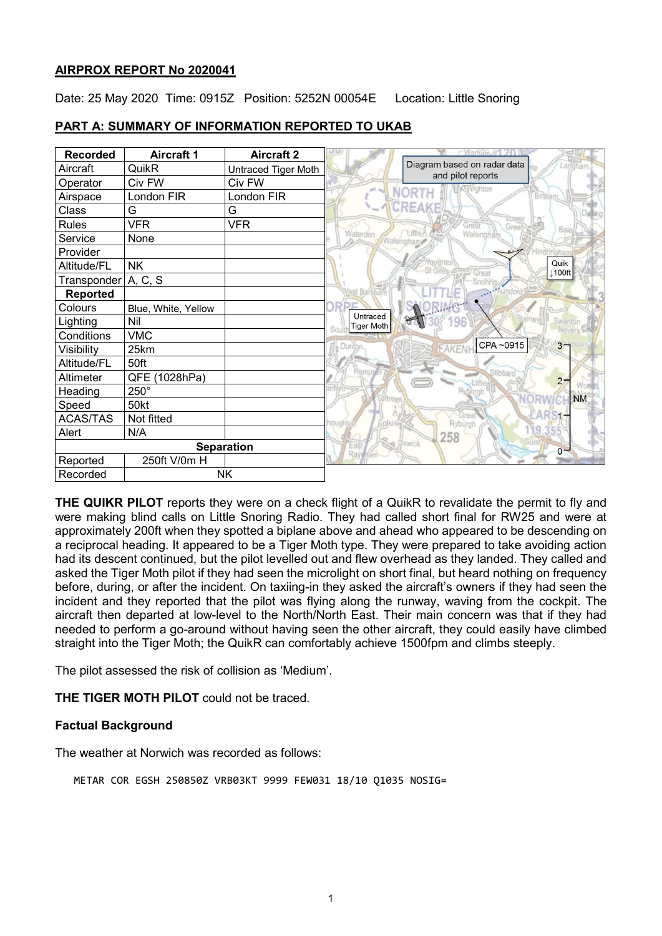## **AIRPROX REPORT No 2020041**

Date: 25 May 2020 Time: 0915Z Position: 5252N 00054E Location: Little Snoring

| <b>Recorded</b>       | <b>Aircraft 1</b>   | <b>Aircraft 2</b>   |                                                             |
|-----------------------|---------------------|---------------------|-------------------------------------------------------------|
| Aircraft              | QuikR               | Untraced Tiger Moth | Diagram based on radar data<br>Langham<br>and pilot reports |
| Operator              | Civ FW              | Civ FW              | Vighton                                                     |
| Airspace              | London FIR          | London FIR          | <b>NORTH</b><br>Binham                                      |
| Class                 | G                   | G                   | CREAKE                                                      |
| <b>Rules</b>          | <b>VFR</b>          | <b>VFR</b>          | Great<br>Green                                              |
| Service               | None                |                     | <b>Little</b><br>Waterden<br>Walsingham<br>Walsingham       |
| Provider              |                     |                     |                                                             |
| Altitude/FL           | <b>NK</b>           |                     | Quik<br>Great<br><b>⊥100ft</b>                              |
| Transponder           | A, C, S             |                     | <b>Snoring</b>                                              |
| <b>Reported</b>       |                     |                     |                                                             |
| Colours               | Blue, White, Yellow |                     | <b>RIA</b> G                                                |
| Lighting              | Nil                 |                     | Untraced<br>Swanton<br>96<br><b>Tiger Moth</b>              |
| Conditions            | <b>VMC</b>          |                     | Novers                                                      |
| Visibility            | 25km                |                     | CPA~0915<br>$3 -$<br>Dunton<br><b>AKENH</b>                 |
| Altitude/FL           | 50ft                |                     |                                                             |
| Altimeter             | (1028hPa)<br>QFE    |                     | Stibbard<br>Hempt<br>2 <sub>7</sub>                         |
| Heading               | $250^\circ$         |                     | <b>NM</b>                                                   |
| Speed                 | 50kt                |                     |                                                             |
| <b>ACAS/TAS</b>       | Not fitted          |                     | Gne<br>Ryburgh                                              |
| Alert                 | N/A                 |                     | 258                                                         |
| <b>Separation</b>     |                     |                     | <b>Oxwick</b><br>$0 -$<br>Rayph                             |
| Reported              | 250ft V/0m H        |                     |                                                             |
| <b>NK</b><br>Recorded |                     |                     |                                                             |

# **PART A: SUMMARY OF INFORMATION REPORTED TO UKAB**

**THE QUIKR PILOT** reports they were on a check flight of a QuikR to revalidate the permit to fly and were making blind calls on Little Snoring Radio. They had called short final for RW25 and were at approximately 200ft when they spotted a biplane above and ahead who appeared to be descending on a reciprocal heading. It appeared to be a Tiger Moth type. They were prepared to take avoiding action had its descent continued, but the pilot levelled out and flew overhead as they landed. They called and asked the Tiger Moth pilot if they had seen the microlight on short final, but heard nothing on frequency before, during, or after the incident. On taxiing-in they asked the aircraft's owners if they had seen the incident and they reported that the pilot was flying along the runway, waving from the cockpit. The aircraft then departed at low-level to the North/North East. Their main concern was that if they had needed to perform a go-around without having seen the other aircraft, they could easily have climbed straight into the Tiger Moth; the QuikR can comfortably achieve 1500fpm and climbs steeply.

The pilot assessed the risk of collision as 'Medium'.

**THE TIGER MOTH PILOT** could not be traced.

# **Factual Background**

The weather at Norwich was recorded as follows:

METAR COR EGSH 250850Z VRB03KT 9999 FEW031 18/10 Q1035 NOSIG=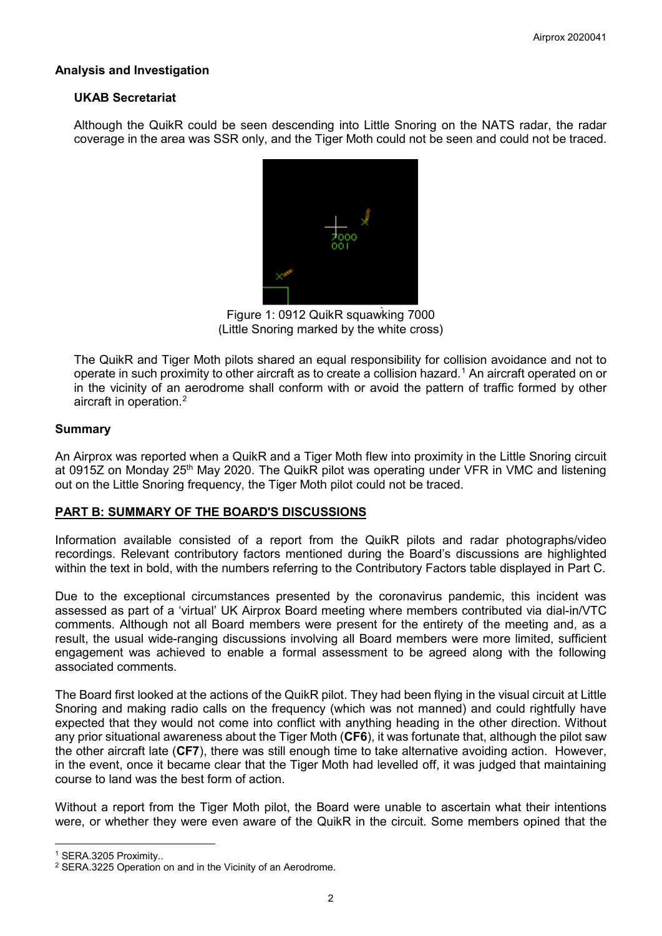## **Analysis and Investigation**

#### **UKAB Secretariat**

Although the QuikR could be seen descending into Little Snoring on the NATS radar, the radar coverage in the area was SSR only, and the Tiger Moth could not be seen and could not be traced.



Figure 1: 0912 QuikR squawking 7000 (Little Snoring marked by the white cross)

The QuikR and Tiger Moth pilots shared an equal responsibility for collision avoidance and not to operate in such proximity to other aircraft as to create a collision hazard. [1](#page-1-0) An aircraft operated on or in the vicinity of an aerodrome shall conform with or avoid the pattern of traffic formed by other aircraft in operation. [2](#page-1-1)

#### **Summary**

An Airprox was reported when a QuikR and a Tiger Moth flew into proximity in the Little Snoring circuit at 0915Z on Monday 25<sup>th</sup> May 2020. The QuikR pilot was operating under VFR in VMC and listening out on the Little Snoring frequency, the Tiger Moth pilot could not be traced.

# **PART B: SUMMARY OF THE BOARD'S DISCUSSIONS**

Information available consisted of a report from the QuikR pilots and radar photographs/video recordings. Relevant contributory factors mentioned during the Board's discussions are highlighted within the text in bold, with the numbers referring to the Contributory Factors table displayed in Part C.

Due to the exceptional circumstances presented by the coronavirus pandemic, this incident was assessed as part of a 'virtual' UK Airprox Board meeting where members contributed via dial-in/VTC comments. Although not all Board members were present for the entirety of the meeting and, as a result, the usual wide-ranging discussions involving all Board members were more limited, sufficient engagement was achieved to enable a formal assessment to be agreed along with the following associated comments.

The Board first looked at the actions of the QuikR pilot. They had been flying in the visual circuit at Little Snoring and making radio calls on the frequency (which was not manned) and could rightfully have expected that they would not come into conflict with anything heading in the other direction. Without any prior situational awareness about the Tiger Moth (**CF6**), it was fortunate that, although the pilot saw the other aircraft late (**CF7**), there was still enough time to take alternative avoiding action. However, in the event, once it became clear that the Tiger Moth had levelled off, it was judged that maintaining course to land was the best form of action.

Without a report from the Tiger Moth pilot, the Board were unable to ascertain what their intentions were, or whether they were even aware of the QuikR in the circuit. Some members opined that the

 $\overline{\phantom{a}}$ 

<span id="page-1-0"></span><sup>1</sup> SERA.3205 Proximity..

<span id="page-1-1"></span><sup>2</sup> SERA.3225 Operation on and in the Vicinity of an Aerodrome.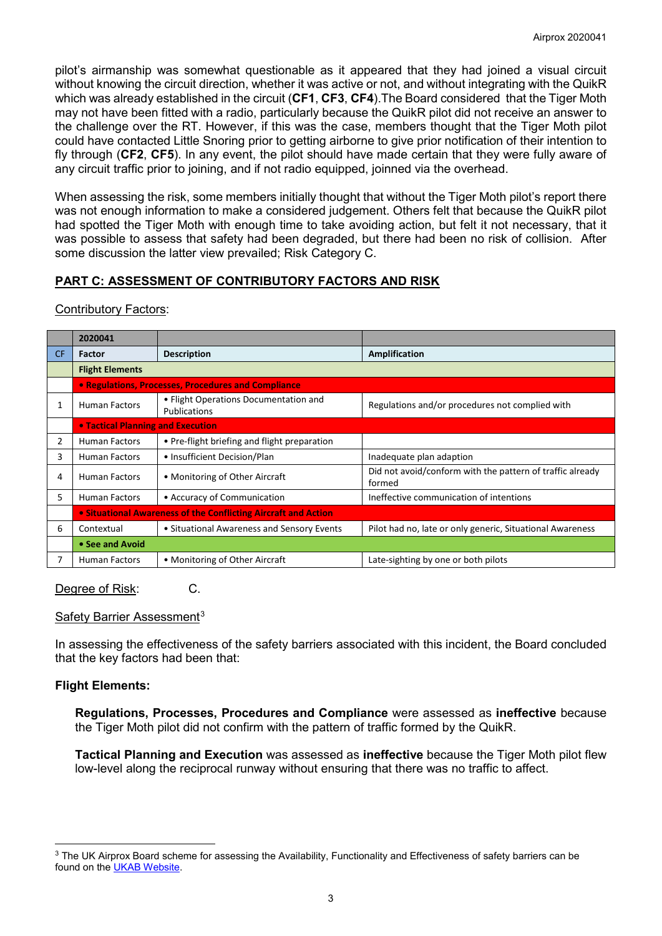pilot's airmanship was somewhat questionable as it appeared that they had joined a visual circuit without knowing the circuit direction, whether it was active or not, and without integrating with the QuikR which was already established in the circuit (**CF1**, **CF3**, **CF4**).The Board considered that the Tiger Moth may not have been fitted with a radio, particularly because the QuikR pilot did not receive an answer to the challenge over the RT. However, if this was the case, members thought that the Tiger Moth pilot could have contacted Little Snoring prior to getting airborne to give prior notification of their intention to fly through (**CF2**, **CF5**). In any event, the pilot should have made certain that they were fully aware of any circuit traffic prior to joining, and if not radio equipped, joinned via the overhead.

When assessing the risk, some members initially thought that without the Tiger Moth pilot's report there was not enough information to make a considered judgement. Others felt that because the QuikR pilot had spotted the Tiger Moth with enough time to take avoiding action, but felt it not necessary, that it was possible to assess that safety had been degraded, but there had been no risk of collision. After some discussion the latter view prevailed; Risk Category C.

# **PART C: ASSESSMENT OF CONTRIBUTORY FACTORS AND RISK**

Contributory Factors:

|     | 2020041                                                        |                                                       |                                                                     |  |  |  |  |  |
|-----|----------------------------------------------------------------|-------------------------------------------------------|---------------------------------------------------------------------|--|--|--|--|--|
| CF. | <b>Factor</b>                                                  | <b>Description</b>                                    | Amplification                                                       |  |  |  |  |  |
|     | <b>Flight Elements</b>                                         |                                                       |                                                                     |  |  |  |  |  |
|     | • Regulations, Processes, Procedures and Compliance            |                                                       |                                                                     |  |  |  |  |  |
| 1   | <b>Human Factors</b>                                           | • Flight Operations Documentation and<br>Publications | Regulations and/or procedures not complied with                     |  |  |  |  |  |
|     | • Tactical Planning and Execution                              |                                                       |                                                                     |  |  |  |  |  |
| 2   | <b>Human Factors</b>                                           | • Pre-flight briefing and flight preparation          |                                                                     |  |  |  |  |  |
| 3   | <b>Human Factors</b>                                           | • Insufficient Decision/Plan                          | Inadequate plan adaption                                            |  |  |  |  |  |
| 4   | <b>Human Factors</b>                                           | • Monitoring of Other Aircraft                        | Did not avoid/conform with the pattern of traffic already<br>formed |  |  |  |  |  |
| 5.  | <b>Human Factors</b>                                           | • Accuracy of Communication                           | Ineffective communication of intentions                             |  |  |  |  |  |
|     | • Situational Awareness of the Conflicting Aircraft and Action |                                                       |                                                                     |  |  |  |  |  |
| 6   | Contextual                                                     | • Situational Awareness and Sensory Events            | Pilot had no, late or only generic, Situational Awareness           |  |  |  |  |  |
|     | • See and Avoid                                                |                                                       |                                                                     |  |  |  |  |  |
|     | <b>Human Factors</b>                                           | • Monitoring of Other Aircraft                        | Late-sighting by one or both pilots                                 |  |  |  |  |  |

Degree of Risk: C.

#### Safety Barrier Assessment<sup>[3](#page-2-0)</sup>

In assessing the effectiveness of the safety barriers associated with this incident, the Board concluded that the key factors had been that:

# **Flight Elements:**

 $\overline{\phantom{a}}$ 

**Regulations, Processes, Procedures and Compliance** were assessed as **ineffective** because the Tiger Moth pilot did not confirm with the pattern of traffic formed by the QuikR.

**Tactical Planning and Execution** was assessed as **ineffective** because the Tiger Moth pilot flew low-level along the reciprocal runway without ensuring that there was no traffic to affect.

<span id="page-2-0"></span><sup>&</sup>lt;sup>3</sup> The UK Airprox Board scheme for assessing the Availability, Functionality and Effectiveness of safety barriers can be found on the [UKAB Website.](http://www.airproxboard.org.uk/Learn-more/Airprox-Barrier-Assessment/)